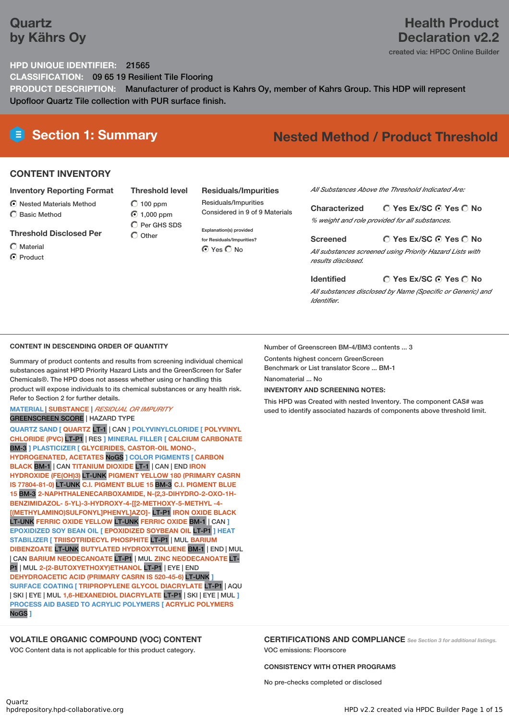# **Quartz by Kährs Oy**

# **Health Product Declaration v2.2**

created via: HPDC Online Builder

### **HPD UNIQUE IDENTIFIER:** 21565

**CLASSIFICATION:** 09 65 19 Resilient Tile Flooring **PRODUCT DESCRIPTION:** Manufacturer of product is Kahrs Oy, member of Kahrs Group. This HDP will represent Upofloor Quartz Tile collection with PUR surface finish.

# **Section 1: Summary Nested Method / Product Threshold**

### **CONTENT INVENTORY**

#### **Inventory Reporting Format**

Nested Materials Method

C Basic Method

**Threshold Disclosed Per**

Material

**O** Product

**Threshold level**  $O$  100 ppm ◯ 1,000 ppm  $\overline{O}$  Per GHS SDS  $\bigcirc$  Other

### **Residuals/Impurities**

Residuals/Impurities Considered in 9 of 9 Materials

**Explanation(s) provided for Residuals/Impurities? O** Yes O No

*All Substances Above the Threshold Indicated Are:*

**Yes Ex/SC Yes No Characterized** *% weight and role provided for all substances.*

**Yes Ex/SC Yes No Screened**

*All substances screened using Priority Hazard Lists with results disclosed.*

*All substances disclosed by Name (Specific or Generic) and Identifier.*

**Yes Ex/SC Yes No**

### **CONTENT IN DESCENDING ORDER OF QUANTITY**

Summary of product contents and results from screening individual chemical substances against HPD Priority Hazard Lists and the GreenScreen for Safer Chemicals®. The HPD does not assess whether using or handling this product will expose individuals to its chemical substances or any health risk. Refer to Section 2 for further details.

### **MATERIAL** | **SUBSTANCE** | *RESIDUAL OR IMPURITY* GREENSCREEN SCORE | HAZARD TYPE

**QUARTZ SAND [ QUARTZ** LT-1 | CAN **] POLYVINYLCLORIDE [ POLYVINYL CHLORIDE (PVC)** LT-P1 | RES **] MINERAL FILLER [ CALCIUM CARBONATE** BM-3 **] PLASTICIZER [ GLYCERIDES, CASTOR-OIL MONO-, HYDROGENATED, ACETATES** NoGS **] COLOR PIGMENTS [ CARBON BLACK** BM-1 | CAN **TITANIUM DIOXIDE** LT-1 | CAN | END **IRON HYDROXIDE (FE(OH)3)** LT-UNK **PIGMENT YELLOW 180 (PRIMARY CASRN IS 77804-81-0)** LT-UNK **C.I. PIGMENT BLUE 15** BM-3 **C.I. PIGMENT BLUE 15** BM-3 **2-NAPHTHALENECARBOXAMIDE, N-(2,3-DIHYDRO-2-OXO-1H-BENZIMIDAZOL- 5-YL)-3-HYDROXY-4-[[2-METHOXY-5-METHYL -4- [(METHYLAMINO)SULFONYL]PHENYL]AZO]-** LT-P1 **IRON OXIDE BLACK** LT-UNK **FERRIC OXIDE YELLOW** LT-UNK **FERRIC OXIDE** BM-1 | CAN **] EPOXIDIZED SOY BEAN OIL [ EPOXIDIZED SOYBEAN OIL** LT-P1 **] HEAT STABILIZER [ TRIISOTRIDECYL PHOSPHITE** LT-P1 | MUL **BARIUM DIBENZOATE** LT-UNK **BUTYLATED HYDROXYTOLUENE** BM-1 | END | MUL | CAN **BARIUM NEODECANOATE** LT-P1 | MUL **ZINC NEODECANOATE** LT-P1 | MUL **2-(2-BUTOXYETHOXY)ETHANOL** LT-P1 | EYE | END **DEHYDROACETIC ACID (PRIMARY CASRN IS 520-45-6)** LT-UNK **] SURFACE COATING [ TRIPROPYLENE GLYCOL DIACRYLATE** LT-P1 | AQU | SKI | EYE | MUL **1,6-HEXANEDIOL DIACRYLATE** LT-P1 | SKI | EYE | MUL **] PROCESS AID BASED TO ACRYLIC POLYMERS [ ACRYLIC POLYMERS** NoGS **]**

### **VOLATILE ORGANIC COMPOUND (VOC) CONTENT**

VOC Content data is not applicable for this product category.

Number of Greenscreen BM-4/BM3 contents ... 3

Contents highest concern GreenScreen

Benchmark or List translator Score ... BM-1 Nanomaterial ... No

**Identified**

**INVENTORY AND SCREENING NOTES:**

This HPD was Created with nested Inventory. The component CAS# was

used to identify associated hazards of components above threshold limit.

**CERTIFICATIONS AND COMPLIANCE** *See Section <sup>3</sup> for additional listings.* VOC emissions: Floorscore

### **CONSISTENCY WITH OTHER PROGRAMS**

No pre-checks completed or disclosed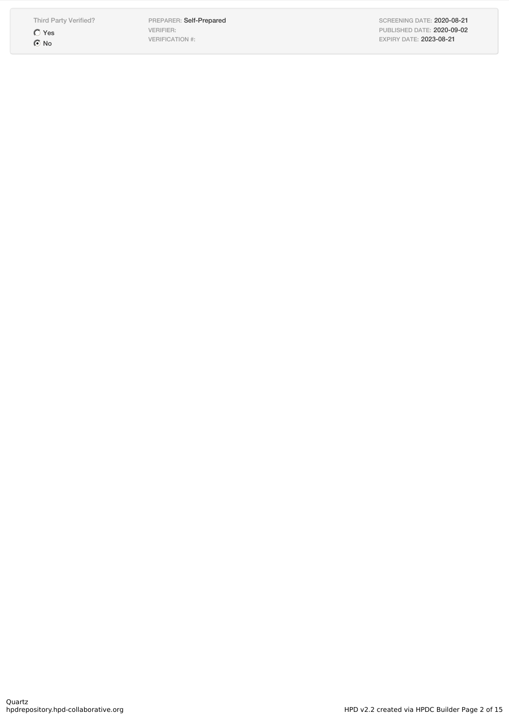Third Party Verified? Yes  $\odot$  No

PREPARER: Self-Prepared VERIFIER: VERIFICATION #:

SCREENING DATE: 2020-08-21 PUBLISHED DATE: 2020-09-02 EXPIRY DATE: 2023-08-21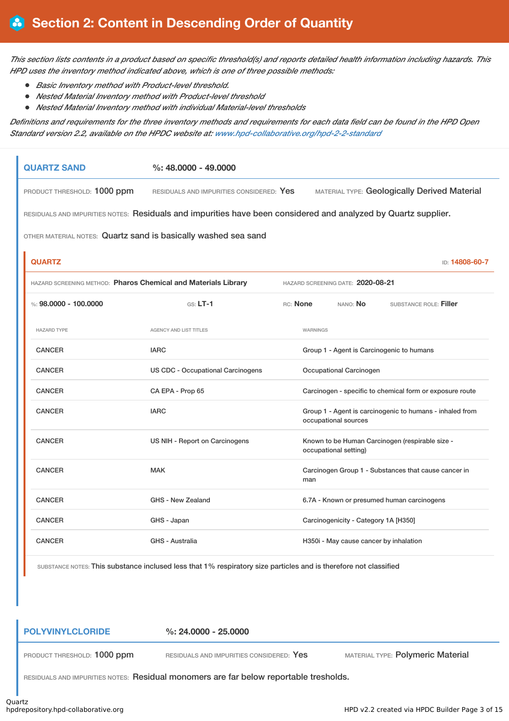This section lists contents in a product based on specific threshold(s) and reports detailed health information including hazards. This *HPD uses the inventory method indicated above, which is one of three possible methods:*

- *Basic Inventory method with Product-level threshold.*
- *Nested Material Inventory method with Product-level threshold*
- *Nested Material Inventory method with individual Material-level thresholds*

Definitions and requirements for the three inventory methods and requirements for each data field can be found in the HPD Open *Standard version 2.2, available on the HPDC website at: [www.hpd-collaborative.org/hpd-2-2-standard](https://www.hpd-collaborative.org/hpd-2-2-standard)*

| <b>QUARTZ SAND</b>                                             | $\%$ : 48.0000 - 49.0000                                                                                       |                 |                                   |                                                     |
|----------------------------------------------------------------|----------------------------------------------------------------------------------------------------------------|-----------------|-----------------------------------|-----------------------------------------------------|
| PRODUCT THRESHOLD: 1000 ppm                                    | RESIDUALS AND IMPURITIES CONSIDERED: Yes                                                                       |                 |                                   | <b>MATERIAL TYPE: Geologically Derived Material</b> |
|                                                                | RESIDUALS AND IMPURITIES NOTES: Residuals and impurities have been considered and analyzed by Quartz supplier. |                 |                                   |                                                     |
| OTHER MATERIAL NOTES: Quartz sand is basically washed sea sand |                                                                                                                |                 |                                   |                                                     |
| <b>QUARTZ</b>                                                  |                                                                                                                |                 |                                   | <b>ID: 14808-60-7</b>                               |
| HAZARD SCREENING METHOD: Pharos Chemical and Materials Library |                                                                                                                |                 | HAZARD SCREENING DATE: 2020-08-21 |                                                     |
| %: 98.0000 - 100.0000                                          | $GS: LT-1$                                                                                                     | <b>RC:</b> None | NANO: <b>No</b>                   | SUBSTANCE ROLE: Filler                              |

| <b>HAZARD TYPE</b> | <b>AGENCY AND LIST TITLES</b>            | <b>WARNINGS</b>                                                                  |
|--------------------|------------------------------------------|----------------------------------------------------------------------------------|
| <b>CANCER</b>      | <b>IARC</b>                              | Group 1 - Agent is Carcinogenic to humans                                        |
| <b>CANCER</b>      | <b>US CDC - Occupational Carcinogens</b> | Occupational Carcinogen                                                          |
| <b>CANCER</b>      | CA EPA - Prop 65                         | Carcinogen - specific to chemical form or exposure route                         |
| <b>CANCER</b>      | <b>IARC</b>                              | Group 1 - Agent is carcinogenic to humans - inhaled from<br>occupational sources |
| <b>CANCER</b>      | US NIH - Report on Carcinogens           | Known to be Human Carcinogen (respirable size -<br>occupational setting)         |
| <b>CANCER</b>      | <b>MAK</b>                               | Carcinogen Group 1 - Substances that cause cancer in<br>man                      |
| <b>CANCER</b>      | GHS - New Zealand                        | 6.7A - Known or presumed human carcinogens                                       |
| <b>CANCER</b>      | GHS - Japan                              | Carcinogenicity - Category 1A [H350]                                             |
| <b>CANCER</b>      | <b>GHS - Australia</b>                   | H350i - May cause cancer by inhalation                                           |

SUBSTANCE NOTES: This substance inclused less that 1% respiratory size particles and is therefore not classified

**POLYVINYLCLORIDE %: 24.0000 - 25.0000**

PRODUCT THRESHOLD: 1000 ppm RESIDUALS AND IMPURITIES CONSIDERED: Yes MATERIAL TYPE: Polymeric Material

RESIDUALS AND IMPURITIES NOTES: Residual monomers are far below reportable tresholds.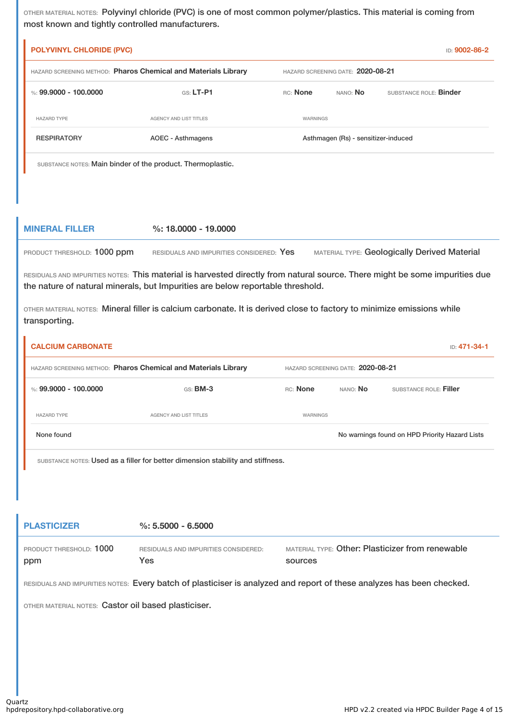OTHER MATERIAL NOTES: Polyvinyl chloride (PVC) is one of most common polymer/plastics. This material is coming from most known and tightly controlled manufacturers.

| <b>POLYVINYL CHLORIDE (PVC)</b>                                                                     |                                                             |                 |                                     | ID: 9002-86-2          |
|-----------------------------------------------------------------------------------------------------|-------------------------------------------------------------|-----------------|-------------------------------------|------------------------|
| HAZARD SCREENING METHOD: Pharos Chemical and Materials Library<br>HAZARD SCREENING DATE: 2020-08-21 |                                                             |                 |                                     |                        |
| %: 99,9000 - 100,0000                                                                               | $GS: LT-P1$                                                 | RC: None        | NANO: No                            | SUBSTANCE ROLE: Binder |
| <b>HAZARD TYPE</b>                                                                                  | <b>AGENCY AND LIST TITLES</b>                               | <b>WARNINGS</b> |                                     |                        |
| <b>RESPIRATORY</b>                                                                                  | AOEC - Asthmagens                                           |                 | Asthmagen (Rs) - sensitizer-induced |                        |
|                                                                                                     | SUBSTANCE NOTES: Main binder of the product. Thermoplastic. |                 |                                     |                        |

### **MINERAL FILLER %: 18.0000 - 19.0000**

PRODUCT THRESHOLD: 1000 ppm RESIDUALS AND IMPURITIES CONSIDERED: Yes MATERIAL TYPE: Geologically Derived Material

RESIDUALS AND IMPURITIES NOTES: This material is harvested directly from natural source. There might be some impurities due the nature of natural minerals, but Impurities are below reportable threshold.

OTHER MATERIAL NOTES: Mineral filler is calcium carbonate. It is derived close to factory to minimize emissions while transporting.

| <b>CALCIUM CARBONATE</b>                                       |                        |                                   |          | <b>ID: 471-34-1</b>                            |
|----------------------------------------------------------------|------------------------|-----------------------------------|----------|------------------------------------------------|
| HAZARD SCREENING METHOD: Pharos Chemical and Materials Library |                        | HAZARD SCREENING DATE: 2020-08-21 |          |                                                |
| %: 99.9000 - 100.0000                                          | $GS:$ BM-3             | RC: None                          | NANO: No | SUBSTANCE ROLE: Filler                         |
| <b>HAZARD TYPE</b>                                             | AGENCY AND LIST TITLES | WARNINGS                          |          |                                                |
| None found                                                     |                        |                                   |          | No warnings found on HPD Priority Hazard Lists |
|                                                                |                        |                                   |          |                                                |

SUBSTANCE NOTES: Used as a filler for better dimension stability and stiffness.

#### **PLASTICIZER %: 5.5000 - 6.5000** PRODUCT THRESHOLD: 1000 ppm RESIDUALS AND IMPURITIES CONSIDERED: Yes MATERIAL TYPE: Other: Plasticizer from renewable sources

RESIDUALS AND IMPURITIES NOTES: Every batch of plasticiser is analyzed and report of these analyzes has been checked.

OTHER MATERIAL NOTES: Castor oil based plasticiser.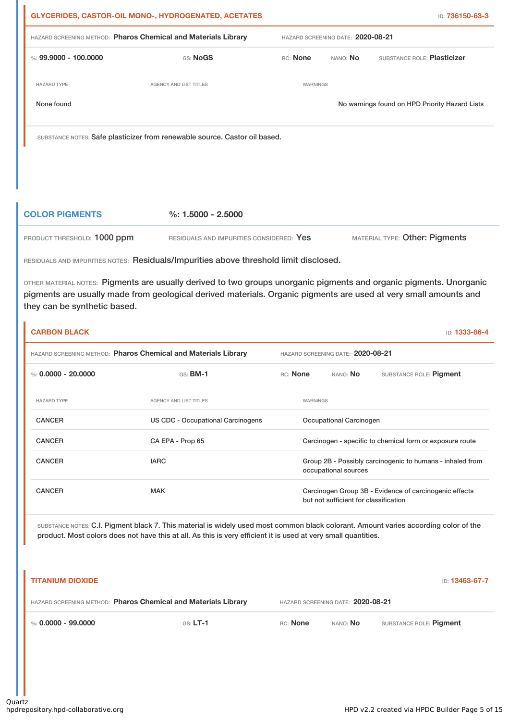|                       | <b>GLYCERIDES, CASTOR-OIL MONO-, HYDROGENATED, ACETATES</b>                |                                   |          | ID: <b>736150-63-3</b>                         |  |
|-----------------------|----------------------------------------------------------------------------|-----------------------------------|----------|------------------------------------------------|--|
|                       | HAZARD SCREENING METHOD: Pharos Chemical and Materials Library             | HAZARD SCREENING DATE: 2020-08-21 |          |                                                |  |
| %: 99.9000 - 100.0000 | GS: NoGS                                                                   | RC: None                          | NANO: No | SUBSTANCE ROLE: Plasticizer                    |  |
| <b>HAZARD TYPE</b>    | <b>AGENCY AND LIST TITLES</b>                                              | WARNINGS                          |          |                                                |  |
| None found            |                                                                            |                                   |          | No warnings found on HPD Priority Hazard Lists |  |
|                       | SUBSTANCE NOTES: Safe plasticizer from renewable source. Castor oil based. |                                   |          |                                                |  |

### **COLOR PIGMENTS %: 1.5000 - 2.5000**

PRODUCT THRESHOLD: 1000 ppm RESIDUALS AND IMPURITIES CONSIDERED: Yes MATERIAL TYPE: Other: Pigments

RESIDUALS AND IMPURITIES NOTES: Residuals/Impurities above threshold limit disclosed.

OTHER MATERIAL NOTES: Pigments are usually derived to two groups unorganic pigments and organic pigments. Unorganic pigments are usually made from geological derived materials. Organic pigments are used at very small amounts and they can be synthetic based.

| <b>CARBON BLACK</b>                                            |                                   |          |          |                                       | ID: 1333-86-4                                             |
|----------------------------------------------------------------|-----------------------------------|----------|----------|---------------------------------------|-----------------------------------------------------------|
| HAZARD SCREENING METHOD: Pharos Chemical and Materials Library |                                   |          |          | HAZARD SCREENING DATE: 2020-08-21     |                                                           |
| %: $0.0000 - 20.0000$                                          | $GS:$ BM-1                        | RC: None |          | NANO: No                              | SUBSTANCE ROLE: Pigment                                   |
| <b>HAZARD TYPE</b>                                             | <b>AGENCY AND LIST TITLES</b>     |          | WARNINGS |                                       |                                                           |
| <b>CANCER</b>                                                  | US CDC - Occupational Carcinogens |          |          | Occupational Carcinogen               |                                                           |
| <b>CANCER</b>                                                  | CA EPA - Prop 65                  |          |          |                                       | Carcinogen - specific to chemical form or exposure route  |
| <b>CANCER</b>                                                  | <b>IARC</b>                       |          |          | occupational sources                  | Group 2B - Possibly carcinogenic to humans - inhaled from |
| <b>CANCER</b>                                                  | <b>MAK</b>                        |          |          | but not sufficient for classification | Carcinogen Group 3B - Evidence of carcinogenic effects    |

SUBSTANCE NOTES: C.I. Pigment black 7. This material is widely used most common black colorant. Amount varies according color of the product. Most colors does not have this at all. As this is very efficient it is used at very small quantities.

| <b>TITANIUM DIOXIDE</b> |                                                                |                                   |                 | ID: 13463-67-7          |
|-------------------------|----------------------------------------------------------------|-----------------------------------|-----------------|-------------------------|
|                         | HAZARD SCREENING METHOD: Pharos Chemical and Materials Library | HAZARD SCREENING DATE: 2020-08-21 |                 |                         |
| %: 0.0000 - 99.0000     | $GS: LT-1$                                                     | RC: None                          | nano: <b>No</b> | SUBSTANCE ROLE: Pigment |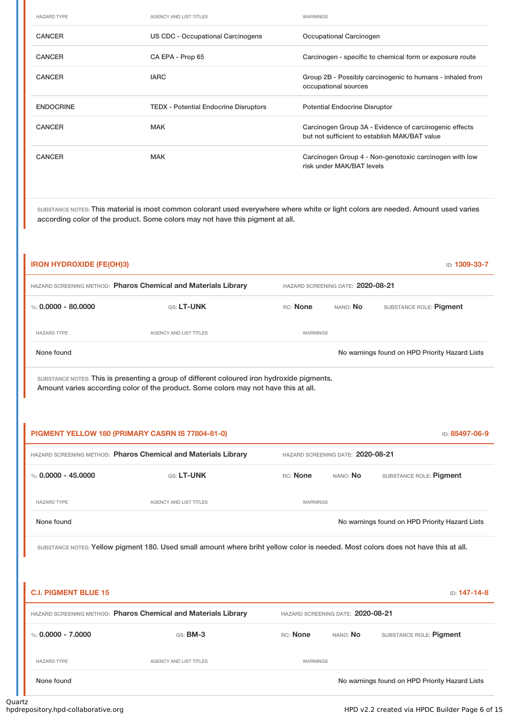| <b>HAZARD TYPE</b> | <b>AGENCY AND LIST TITLES</b>                | WARNINGS                                                                                                |
|--------------------|----------------------------------------------|---------------------------------------------------------------------------------------------------------|
| <b>CANCER</b>      | US CDC - Occupational Carcinogens            | Occupational Carcinogen                                                                                 |
| <b>CANCER</b>      | CA EPA - Prop 65                             | Carcinogen - specific to chemical form or exposure route                                                |
| <b>CANCER</b>      | <b>IARC</b>                                  | Group 2B - Possibly carcinogenic to humans - inhaled from<br>occupational sources                       |
| <b>ENDOCRINE</b>   |                                              |                                                                                                         |
|                    | <b>TEDX</b> - Potential Endocrine Disruptors | <b>Potential Endocrine Disruptor</b>                                                                    |
| <b>CANCER</b>      | <b>MAK</b>                                   | Carcinogen Group 3A - Evidence of carcinogenic effects<br>but not sufficient to establish MAK/BAT value |
| <b>CANCER</b>      | <b>MAK</b>                                   | Carcinogen Group 4 - Non-genotoxic carcinogen with low<br>risk under MAK/BAT levels                     |

SUBSTANCE NOTES: This material is most common colorant used everywhere where white or light colors are needed. Amount used varies according color of the product. Some colors may not have this pigment at all.

| <b>IRON HYDROXIDE (FE(OH)3)</b>                                |                                   |                 |          | ID: 1309-33-7                                  |
|----------------------------------------------------------------|-----------------------------------|-----------------|----------|------------------------------------------------|
| HAZARD SCREENING METHOD: Pharos Chemical and Materials Library | HAZARD SCREENING DATE: 2020-08-21 |                 |          |                                                |
| %: $0.0000 - 80.0000$                                          | <b>GS: LT-UNK</b>                 | <b>RC:</b> None | NANO: No | SUBSTANCE ROLE: Pigment                        |
| <b>HAZARD TYPE</b>                                             | AGENCY AND LIST TITLES            | <b>WARNINGS</b> |          |                                                |
| None found                                                     |                                   |                 |          | No warnings found on HPD Priority Hazard Lists |
|                                                                |                                   |                 |          |                                                |

SUBSTANCE NOTES: This is presenting a group of different coloured iron hydroxide pigments. Amount varies according color of the product. Some colors may not have this at all.

|                       | PIGMENT YELLOW 180 (PRIMARY CASRN IS 77804-81-0)               |                                   |                 | ID: 85497-06-9                                 |
|-----------------------|----------------------------------------------------------------|-----------------------------------|-----------------|------------------------------------------------|
|                       | HAZARD SCREENING METHOD: Pharos Chemical and Materials Library | HAZARD SCREENING DATE: 2020-08-21 |                 |                                                |
| %: $0.0000 - 45.0000$ | GS: LT-UNK                                                     | <b>RC:</b> None                   | NANO: <b>No</b> | SUBSTANCE ROLE: Pigment                        |
| <b>HAZARD TYPE</b>    | AGENCY AND LIST TITLES                                         | WARNINGS                          |                 |                                                |
| None found            |                                                                |                                   |                 | No warnings found on HPD Priority Hazard Lists |
|                       |                                                                |                                   |                 |                                                |

SUBSTANCE NOTES: Yellow pigment 180. Used small amount where briht yellow color is needed. Most colors does not have this at all.

| <b>C.I. PIGMENT BLUE 15</b>                                                                         |                        |                 |          | <b>ID: 147-14-8</b>                            |
|-----------------------------------------------------------------------------------------------------|------------------------|-----------------|----------|------------------------------------------------|
| HAZARD SCREENING METHOD: Pharos Chemical and Materials Library<br>HAZARD SCREENING DATE: 2020-08-21 |                        |                 |          |                                                |
| %: $0.0000 - 7.0000$                                                                                | $GS:$ BM-3             | <b>RC:</b> None | NANO: No | SUBSTANCE ROLE: Pigment                        |
| <b>HAZARD TYPE</b>                                                                                  | AGENCY AND LIST TITLES | <b>WARNINGS</b> |          |                                                |
| None found                                                                                          |                        |                 |          | No warnings found on HPD Priority Hazard Lists |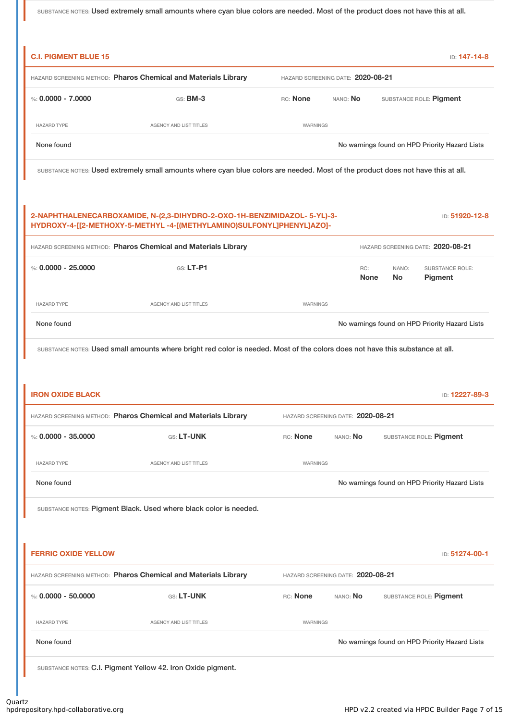SUBSTANCE NOTES: Used extremely small amounts where cyan blue colors are needed. Most of the product does not have this at all.

| <b>C.I. PIGMENT BLUE 15</b> |                                                                                                                                                  |                 |                                   |                    | ID: 147-14-8                                   |
|-----------------------------|--------------------------------------------------------------------------------------------------------------------------------------------------|-----------------|-----------------------------------|--------------------|------------------------------------------------|
|                             | HAZARD SCREENING METHOD: Pharos Chemical and Materials Library                                                                                   |                 | HAZARD SCREENING DATE: 2020-08-21 |                    |                                                |
| %: $0.0000 - 7.0000$        | GS: <b>BM-3</b>                                                                                                                                  | RC: None        | NANO: No                          |                    | SUBSTANCE ROLE: Pigment                        |
| <b>HAZARD TYPE</b>          | <b>AGENCY AND LIST TITLES</b>                                                                                                                    | WARNINGS        |                                   |                    |                                                |
| None found                  |                                                                                                                                                  |                 |                                   |                    | No warnings found on HPD Priority Hazard Lists |
|                             | SUBSTANCE NOTES: Used extremely small amounts where cyan blue colors are needed. Most of the product does not have this at all.                  |                 |                                   |                    |                                                |
|                             | 2-NAPHTHALENECARBOXAMIDE, N-(2,3-DIHYDRO-2-OXO-1H-BENZIMIDAZOL- 5-YL)-3-<br>HYDROXY-4-[[2-METHOXY-5-METHYL-4-[(METHYLAMINO)SULFONYL]PHENYL]AZO]- |                 |                                   |                    | ID: 51920-12-8                                 |
|                             | HAZARD SCREENING METHOD: Pharos Chemical and Materials Library                                                                                   |                 |                                   |                    | HAZARD SCREENING DATE: 2020-08-21              |
| %: $0.0000 - 25.0000$       | $G.S.$ LT-P1                                                                                                                                     |                 | RC:<br><b>None</b>                | NANO:<br><b>No</b> | <b>SUBSTANCE ROLE:</b><br><b>Pigment</b>       |
| <b>HAZARD TYPE</b>          | AGENCY AND LIST TITLES                                                                                                                           | WARNINGS        |                                   |                    |                                                |
| None found                  |                                                                                                                                                  |                 |                                   |                    | No warnings found on HPD Priority Hazard Lists |
|                             | SUBSTANCE NOTES: Used small amounts where bright red color is needed. Most of the colors does not have this substance at all.                    |                 |                                   |                    |                                                |
|                             |                                                                                                                                                  |                 |                                   |                    |                                                |
| <b>IRON OXIDE BLACK</b>     |                                                                                                                                                  |                 |                                   |                    | ID: 12227-89-3                                 |
|                             | HAZARD SCREENING METHOD: Pharos Chemical and Materials Library                                                                                   |                 | HAZARD SCREENING DATE: 2020-08-21 |                    |                                                |
| %: $0.0000 - 35.0000$       | GS: LT-UNK                                                                                                                                       | RC: None        | NANO: No                          |                    | SUBSTANCE ROLE: Pigment                        |
| <b>HAZARD TYPE</b>          | <b>AGENCY AND LIST TITLES</b>                                                                                                                    | <b>WARNINGS</b> |                                   |                    |                                                |
| None found                  |                                                                                                                                                  |                 |                                   |                    | No warnings found on HPD Priority Hazard Lists |
|                             | SUBSTANCE NOTES: Pigment Black. Used where black color is needed.                                                                                |                 |                                   |                    |                                                |
|                             |                                                                                                                                                  |                 |                                   |                    |                                                |
| <b>FERRIC OXIDE YELLOW</b>  |                                                                                                                                                  |                 |                                   |                    | ID: 51274-00-1                                 |
|                             | HAZARD SCREENING METHOD: Pharos Chemical and Materials Library                                                                                   |                 | HAZARD SCREENING DATE: 2020-08-21 |                    |                                                |
| %: $0.0000 - 50.0000$       | GS: LT-UNK                                                                                                                                       | RC: None        | NANO: No                          |                    | SUBSTANCE ROLE: Pigment                        |
| <b>HAZARD TYPE</b>          | <b>AGENCY AND LIST TITLES</b>                                                                                                                    | WARNINGS        |                                   |                    |                                                |
| None found                  |                                                                                                                                                  |                 |                                   |                    | No warnings found on HPD Priority Hazard Lists |
|                             | SUBSTANCE NOTES: C.I. Pigment Yellow 42. Iron Oxide pigment.                                                                                     |                 |                                   |                    |                                                |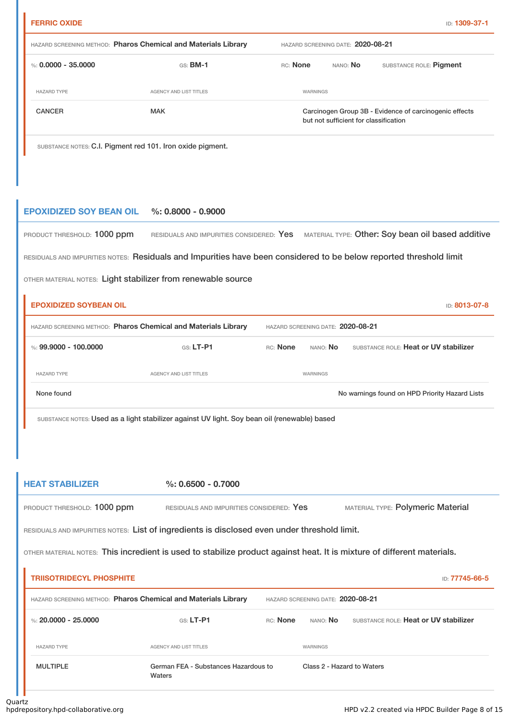| ID: 1309-37 |  |  |  |
|-------------|--|--|--|

| <b>FERRIC OXIDE</b>   |                                                                |                                                                                                 |                                   | <b>ID: 1309-37-1</b>    |  |
|-----------------------|----------------------------------------------------------------|-------------------------------------------------------------------------------------------------|-----------------------------------|-------------------------|--|
|                       | HAZARD SCREENING METHOD: Pharos Chemical and Materials Library |                                                                                                 | HAZARD SCREENING DATE: 2020-08-21 |                         |  |
| %: $0.0000 - 35.0000$ | $GS:$ BM-1                                                     | RC: None                                                                                        | NANO: No                          | SUBSTANCE ROLE: Pigment |  |
| <b>HAZARD TYPE</b>    | AGENCY AND LIST TITLES                                         | WARNINGS                                                                                        |                                   |                         |  |
| <b>CANCER</b>         | <b>MAK</b>                                                     | Carcinogen Group 3B - Evidence of carcinogenic effects<br>but not sufficient for classification |                                   |                         |  |
|                       |                                                                |                                                                                                 |                                   |                         |  |

SUBSTANCE NOTES: C.I. Pigment red 101. Iron oxide pigment.

## **EPOXIDIZED SOY BEAN OIL %: 0.8000 - 0.9000**

| PRODUCT THRESHOLD: 1000 ppm |  | RESIDUALS AND IMPURITIES CONSIDERED: Yes MATERIAL TYPE: Other: Soy bean oil based additive |
|-----------------------------|--|--------------------------------------------------------------------------------------------|
|-----------------------------|--|--------------------------------------------------------------------------------------------|

RESIDUALS AND IMPURITIES NOTES: Residuals and Impurities have been considered to be below reported threshold limit

OTHER MATERIAL NOTES: Light stabilizer from renewable source

Ĩ.

| <b>EPOXIDIZED SOYBEAN OIL</b><br><b>ID: 8013-07-8</b> |                                                                |                                   |                 |                                                |  |
|-------------------------------------------------------|----------------------------------------------------------------|-----------------------------------|-----------------|------------------------------------------------|--|
|                                                       | HAZARD SCREENING METHOD: Pharos Chemical and Materials Library | HAZARD SCREENING DATE: 2020-08-21 |                 |                                                |  |
| %: 99.9000 - 100.0000                                 | $GS: LT-PI$                                                    | <b>RC:</b> None                   | nano: <b>No</b> | SUBSTANCE ROLE: Heat or UV stabilizer          |  |
| <b>HAZARD TYPE</b>                                    | AGENCY AND LIST TITLES                                         |                                   | WARNINGS        |                                                |  |
| None found                                            |                                                                |                                   |                 | No warnings found on HPD Priority Hazard Lists |  |

SUBSTANCE NOTES: Used as a light stabilizer against UV light. Soy bean oil (renewable) based

| <b>HEAT STABILIZER</b>                                                                                                 | $\%: 0.6500 - 0.7000$                    |          |                                   |                                          |  |  |  |
|------------------------------------------------------------------------------------------------------------------------|------------------------------------------|----------|-----------------------------------|------------------------------------------|--|--|--|
| PRODUCT THRESHOLD: 1000 ppm                                                                                            | RESIDUALS AND IMPURITIES CONSIDERED: Yes |          |                                   | <b>MATERIAL TYPE: Polymeric Material</b> |  |  |  |
| RESIDUALS AND IMPURITIES NOTES: List of ingredients is disclosed even under threshold limit.                           |                                          |          |                                   |                                          |  |  |  |
| OTHER MATERIAL NOTES: This incredient is used to stabilize product against heat. It is mixture of different materials. |                                          |          |                                   |                                          |  |  |  |
| <b>TRIISOTRIDECYL PHOSPHITE</b>                                                                                        |                                          |          |                                   | ID: 77745-66-5                           |  |  |  |
| HAZARD SCREENING METHOD: Pharos Chemical and Materials Library                                                         |                                          |          | HAZARD SCREENING DATE: 2020-08-21 |                                          |  |  |  |
| %: 20,0000 - 25,0000                                                                                                   | $G.S. LT-P1$                             | RC: None | nano: <b>No</b>                   | SUBSTANCE ROLE: Heat or UV stabilizer    |  |  |  |
| <b>HAZARD TYPE</b>                                                                                                     | <b>AGENCY AND LIST TITLES</b>            |          | WARNINGS                          |                                          |  |  |  |
| <b>MULTIPLE</b><br>Waters                                                                                              | German FEA - Substances Hazardous to     |          | Class 2 - Hazard to Waters        |                                          |  |  |  |
| τz<br>المتحافظ ومحاولتها والمتحال والمتحال والمحاولة والمتحاولات                                                       |                                          |          |                                   |                                          |  |  |  |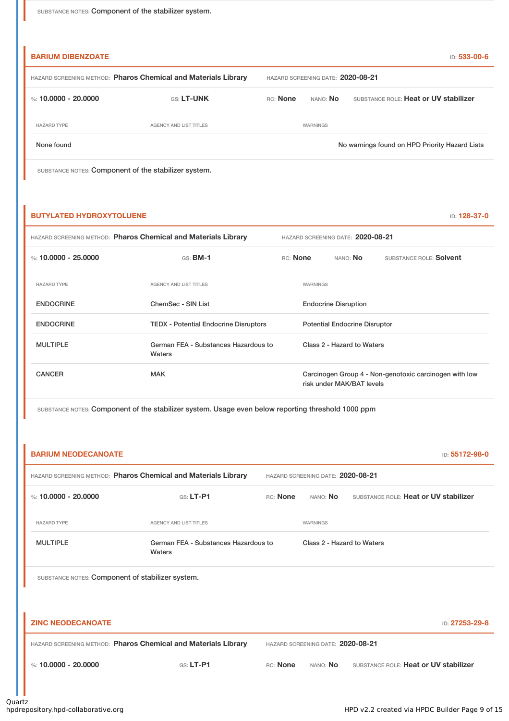SUBSTANCE NOTES: Component of the stabilizer system.

| <b>BARIUM DIBENZOATE</b>                                       |                                   |          |                 | ID: 533-00-6                                   |
|----------------------------------------------------------------|-----------------------------------|----------|-----------------|------------------------------------------------|
| HAZARD SCREENING METHOD: Pharos Chemical and Materials Library | HAZARD SCREENING DATE: 2020-08-21 |          |                 |                                                |
| %: 10.0000 - 20.0000                                           | <b>GS: LT-UNK</b>                 | RC: None | NANO: <b>No</b> | SUBSTANCE ROLE: Heat or UV stabilizer          |
| <b>HAZARD TYPE</b>                                             | AGENCY AND LIST TITLES            |          | WARNINGS        |                                                |
| None found                                                     |                                   |          |                 | No warnings found on HPD Priority Hazard Lists |
|                                                                |                                   |          |                 |                                                |

SUBSTANCE NOTES: Component of the stabilizer system.

### **BUTYLATED HYDROXYTOLUENE ID: 128-37-0**

| HAZARD SCREENING METHOD: Pharos Chemical and Materials Library |                                                |          |                                      | HAZARD SCREENING DATE: 2020-08-21 |                                                        |  |  |
|----------------------------------------------------------------|------------------------------------------------|----------|--------------------------------------|-----------------------------------|--------------------------------------------------------|--|--|
| %: 10.0000 - 25.0000                                           | $GS:$ BM-1                                     | RC: None |                                      | NANO: <b>No</b>                   | SUBSTANCE ROLE: Solvent                                |  |  |
| <b>HAZARD TYPE</b>                                             | <b>AGENCY AND LIST TITLES</b>                  |          | WARNINGS                             |                                   |                                                        |  |  |
| <b>ENDOCRINE</b>                                               | ChemSec - SIN List                             |          | <b>Endocrine Disruption</b>          |                                   |                                                        |  |  |
| <b>ENDOCRINE</b>                                               | <b>TEDX</b> - Potential Endocrine Disruptors   |          | <b>Potential Endocrine Disruptor</b> |                                   |                                                        |  |  |
| <b>MULTIPLE</b>                                                | German FEA - Substances Hazardous to<br>Waters |          |                                      | Class 2 - Hazard to Waters        |                                                        |  |  |
| <b>CANCER</b>                                                  | <b>MAK</b>                                     |          |                                      | risk under MAK/BAT levels         | Carcinogen Group 4 - Non-genotoxic carcinogen with low |  |  |

SUBSTANCE NOTES: Component of the stabilizer system. Usage even below reporting threshold 1000 ppm

| <b>BARIUM NEODECANOATE</b> |                                                                |          |                                   |                                       | ID: 55172-98-0 |
|----------------------------|----------------------------------------------------------------|----------|-----------------------------------|---------------------------------------|----------------|
|                            | HAZARD SCREENING METHOD: Pharos Chemical and Materials Library |          | HAZARD SCREENING DATE: 2020-08-21 |                                       |                |
| %: 10.0000 - 20.0000       | $GS: LT-PI$                                                    | RC: None | NANO: No                          | SUBSTANCE ROLE: Heat or UV stabilizer |                |
| <b>HAZARD TYPE</b>         | <b>AGENCY AND LIST TITLES</b>                                  |          | <b>WARNINGS</b>                   |                                       |                |
| <b>MULTIPLE</b>            | German FEA - Substances Hazardous to<br>Waters                 |          | Class 2 - Hazard to Waters        |                                       |                |
|                            | SUBSTANCE NOTES: Component of stabilizer system.               |          |                                   |                                       |                |
|                            |                                                                |          |                                   |                                       |                |
| <b>ZINC NEODECANOATE</b>   |                                                                |          |                                   |                                       | ID: 27253-29-8 |
|                            | HAZARD SCREENING METHOD: Pharos Chemical and Materials Library |          | HAZARD SCREENING DATE: 2020-08-21 |                                       |                |
| %: $10.0000 - 20.0000$     | $GS: LT-P1$                                                    | RC: None | NANO: No                          | SUBSTANCE ROLE: Heat or UV stabilizer |                |
|                            |                                                                |          |                                   |                                       |                |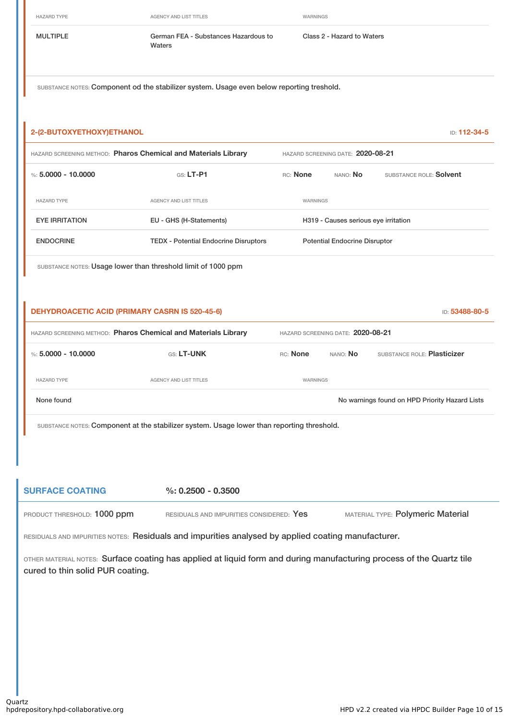HAZARD TYPE **AGENCY AND LIST TITLES** WARNINGS

MULTIPLE German FEA - Substances Hazardous to Waters

Class 2 - Hazard to Waters

SUBSTANCE NOTES: Component od the stabilizer system. Usage even below reporting treshold.

| 2-(2-BUTOXYETHOXY)ETHANOL                             |                                                                                                                      |          |                                      | ID: 112-34-5                                   |
|-------------------------------------------------------|----------------------------------------------------------------------------------------------------------------------|----------|--------------------------------------|------------------------------------------------|
|                                                       | HAZARD SCREENING METHOD: Pharos Chemical and Materials Library                                                       |          | HAZARD SCREENING DATE: 2020-08-21    |                                                |
| %: $5.0000 - 10.0000$                                 | $GS: LT-P1$                                                                                                          | RC: None | NANO: No                             | SUBSTANCE ROLE: Solvent                        |
| <b>HAZARD TYPE</b>                                    | <b>AGENCY AND LIST TITLES</b>                                                                                        | WARNINGS |                                      |                                                |
| <b>EYE IRRITATION</b>                                 | EU - GHS (H-Statements)                                                                                              |          | H319 - Causes serious eye irritation |                                                |
| <b>ENDOCRINE</b>                                      | <b>TEDX - Potential Endocrine Disruptors</b>                                                                         |          | <b>Potential Endocrine Disruptor</b> |                                                |
|                                                       | SUBSTANCE NOTES: Usage lower than threshold limit of 1000 ppm                                                        |          |                                      |                                                |
|                                                       |                                                                                                                      |          |                                      |                                                |
| <b>DEHYDROACETIC ACID (PRIMARY CASRN IS 520-45-6)</b> |                                                                                                                      |          |                                      | ID: 53488-80-5                                 |
|                                                       | HAZARD SCREENING METHOD: Pharos Chemical and Materials Library                                                       |          | HAZARD SCREENING DATE: 2020-08-21    |                                                |
| %: $5,0000 - 10,0000$                                 | GS: LT-UNK                                                                                                           | RC: None | NANO: No                             | SUBSTANCE ROLE: Plasticizer                    |
| <b>HAZARD TYPE</b>                                    | AGENCY AND LIST TITLES                                                                                               | WARNINGS |                                      |                                                |
| None found                                            |                                                                                                                      |          |                                      | No warnings found on HPD Priority Hazard Lists |
|                                                       | SUBSTANCE NOTES: Component at the stabilizer system. Usage lower than reporting threshold.                           |          |                                      |                                                |
|                                                       |                                                                                                                      |          |                                      |                                                |
|                                                       |                                                                                                                      |          |                                      |                                                |
| <b>SURFACE COATING</b>                                | $\%: 0.2500 - 0.3500$                                                                                                |          |                                      |                                                |
| PRODUCT THRESHOLD: 1000 ppm                           | RESIDUALS AND IMPURITIES CONSIDERED: Yes                                                                             |          |                                      | MATERIAL TYPE: Polymeric Material              |
|                                                       | RESIDUALS AND IMPURITIES NOTES: Residuals and impurities analysed by applied coating manufacturer.                   |          |                                      |                                                |
| cured to thin solid PUR coating.                      | OTHER MATERIAL NOTES: Surface coating has applied at liquid form and during manufacturing process of the Quartz tile |          |                                      |                                                |
|                                                       |                                                                                                                      |          |                                      |                                                |
|                                                       |                                                                                                                      |          |                                      |                                                |
|                                                       |                                                                                                                      |          |                                      |                                                |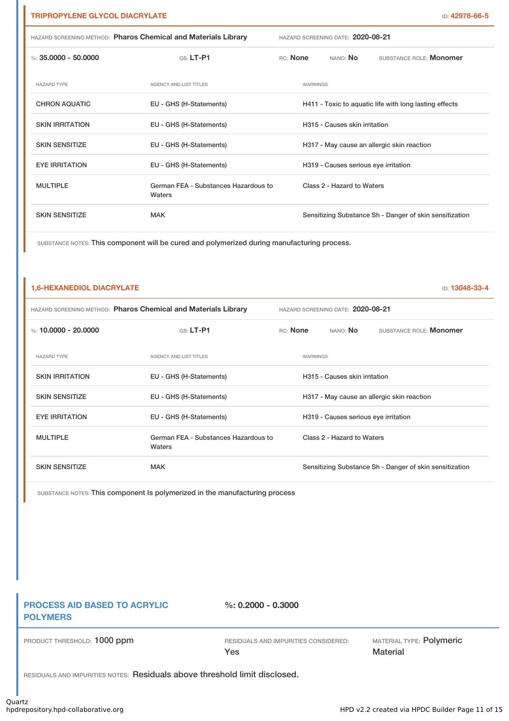| HAZARD SCREENING METHOD: Pharos Chemical and Materials Library |                                                | HAZARD SCREENING DATE: 2020-08-21 |          |                                      |                                                         |  |
|----------------------------------------------------------------|------------------------------------------------|-----------------------------------|----------|--------------------------------------|---------------------------------------------------------|--|
| %: 35,0000 - 50,0000                                           | $Gs: LT-P1$                                    | RC: None                          |          | NANO: <b>No</b>                      | SUBSTANCE ROLE: Monomer                                 |  |
| <b>HAZARD TYPE</b>                                             | <b>AGENCY AND LIST TITLES</b>                  |                                   | WARNINGS |                                      |                                                         |  |
| <b>CHRON AQUATIC</b>                                           | EU - GHS (H-Statements)                        |                                   |          |                                      | H411 - Toxic to aquatic life with long lasting effects  |  |
| <b>SKIN IRRITATION</b>                                         | EU - GHS (H-Statements)                        |                                   |          | H315 - Causes skin irritation        |                                                         |  |
| <b>SKIN SENSITIZE</b>                                          | EU - GHS (H-Statements)                        |                                   |          |                                      | H317 - May cause an allergic skin reaction              |  |
| <b>EYE IRRITATION</b>                                          | EU - GHS (H-Statements)                        |                                   |          | H319 - Causes serious eye irritation |                                                         |  |
| <b>MULTIPLE</b>                                                | German FEA - Substances Hazardous to<br>Waters |                                   |          | Class 2 - Hazard to Waters           |                                                         |  |
| <b>SKIN SENSITIZE</b>                                          | <b>MAK</b>                                     |                                   |          |                                      | Sensitizing Substance Sh - Danger of skin sensitization |  |

SUBSTANCE NOTES: This component will be cured and polymerized during manufacturing process.

| <b>1,6-HEXANEDIOL DIACRYLATE</b>                               |                                                |          |          |                                      |                                                         | ID: 13048-33-4 |
|----------------------------------------------------------------|------------------------------------------------|----------|----------|--------------------------------------|---------------------------------------------------------|----------------|
| HAZARD SCREENING METHOD: Pharos Chemical and Materials Library |                                                |          |          | HAZARD SCREENING DATE: 2020-08-21    |                                                         |                |
| %: 10.0000 - 20.0000                                           | $G.S.$ LT-P1                                   | RC: None |          | nano: <b>No</b>                      | SUBSTANCE ROLE: Monomer                                 |                |
| <b>HAZARD TYPE</b>                                             | <b>AGENCY AND LIST TITLES</b>                  |          | WARNINGS |                                      |                                                         |                |
| <b>SKIN IRRITATION</b>                                         | EU - GHS (H-Statements)                        |          |          | H315 - Causes skin irritation        |                                                         |                |
| <b>SKIN SENSITIZE</b>                                          | EU - GHS (H-Statements)                        |          |          |                                      | H317 - May cause an allergic skin reaction              |                |
| <b>EYE IRRITATION</b>                                          | EU - GHS (H-Statements)                        |          |          | H319 - Causes serious eye irritation |                                                         |                |
| <b>MULTIPLE</b>                                                | German FEA - Substances Hazardous to<br>Waters |          |          | Class 2 - Hazard to Waters           |                                                         |                |
| <b>SKIN SENSITIZE</b>                                          | <b>MAK</b>                                     |          |          |                                      | Sensitizing Substance Sh - Danger of skin sensitization |                |

SUBSTANCE NOTES: This component Is polymerized in the manufacturing process

## **PROCESS AID BASED TO ACRYLIC POLYMERS**

**%: 0.2000 - 0.3000**

PRODUCT THRESHOLD: 1000 ppm RESIDUALS AND IMPURITIES CONSIDERED:

Yes

**MATERIAL TYPE: Polymeric Material** 

RESIDUALS AND IMPURITIES NOTES: Residuals above threshold limit disclosed.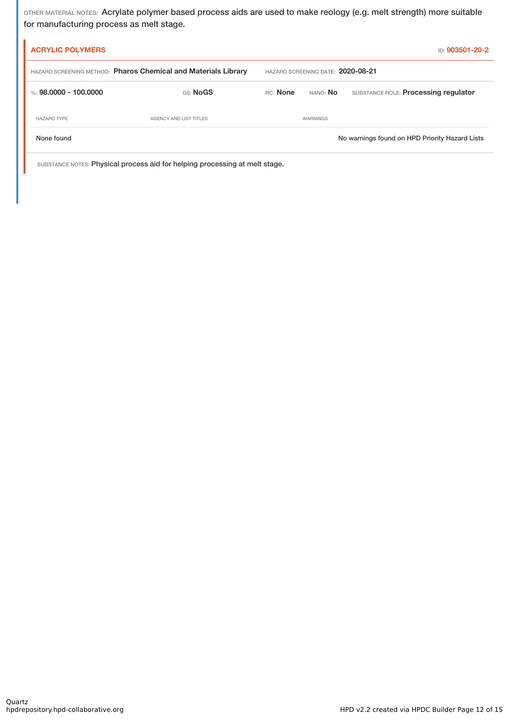OTHER MATERIAL NOTES: Acrylate polymer based process aids are used to make reology (e.g. melt strength) more suitable for manufacturing process as melt stage.

| <b>ACRYLIC POLYMERS</b>                                        |                                   |          |                 | ID: 903501-20-2                                |
|----------------------------------------------------------------|-----------------------------------|----------|-----------------|------------------------------------------------|
| HAZARD SCREENING METHOD: Pharos Chemical and Materials Library | HAZARD SCREENING DATE: 2020-08-21 |          |                 |                                                |
| %: 98.0000 - 100.0000                                          | GS: NoGS                          | RC: None | nano: <b>No</b> | SUBSTANCE ROLE: Processing regulator           |
| <b>HAZARD TYPE</b>                                             | <b>AGENCY AND LIST TITLES</b>     |          | WARNINGS        |                                                |
| None found                                                     |                                   |          |                 | No warnings found on HPD Priority Hazard Lists |

SUBSTANCE NOTES: Physical process aid for helping processing at melt stage.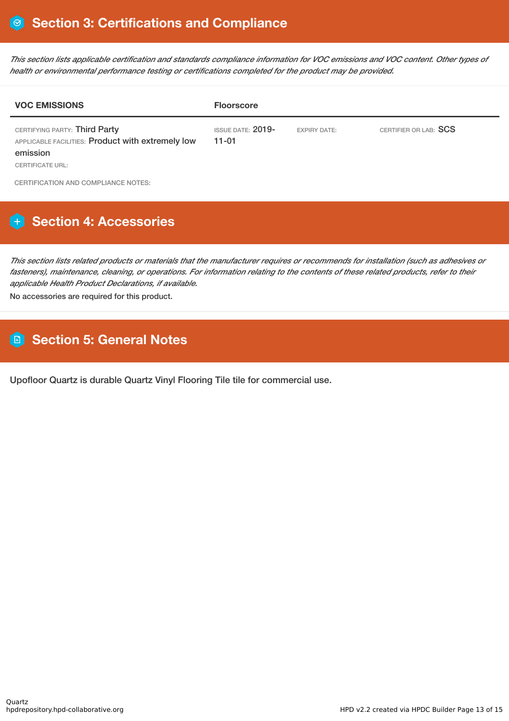This section lists applicable certification and standards compliance information for VOC emissions and VOC content. Other types of *health or environmental performance testing or certifications completed for the product may be provided.*

| <b>VOC EMISSIONS</b>                                                                                               | <b>Floorscore</b>                     |                     |                       |
|--------------------------------------------------------------------------------------------------------------------|---------------------------------------|---------------------|-----------------------|
| CERTIFYING PARTY: Third Party<br>APPLICABLE FACILITIES: Product with extremely low<br>emission<br>CERTIFICATE URL: | <b>ISSUE DATE: 2019-</b><br>$11 - 01$ | <b>EXPIRY DATE:</b> | CERTIFIER OR LAB: SCS |

CERTIFICATION AND COMPLIANCE NOTES:

# **H** Section 4: Accessories

This section lists related products or materials that the manufacturer requires or recommends for installation (such as adhesives or fasteners), maintenance, cleaning, or operations. For information relating to the contents of these related products, refer to their *applicable Health Product Declarations, if available.*

No accessories are required for this product.

# **Section 5: General Notes**

Upofloor Quartz is durable Quartz Vinyl Flooring Tile tile for commercial use.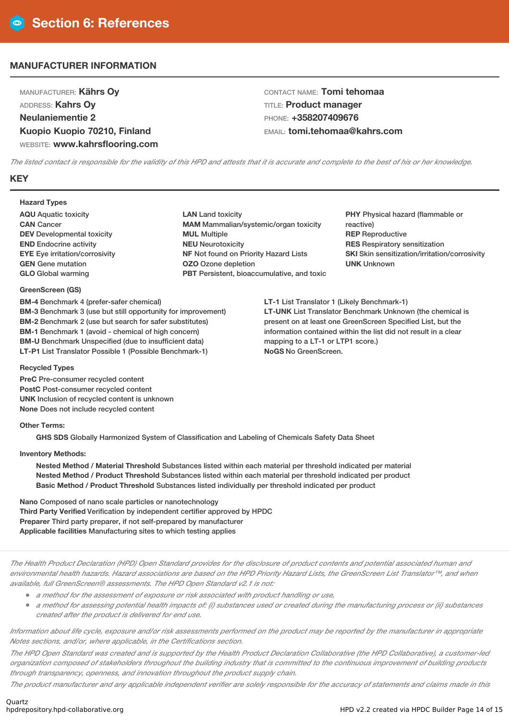### **MANUFACTURER INFORMATION**

MANUFACTURER: **Kährs Oy** ADDRESS: **Kahrs Oy Neulaniementie 2 Kuopio Kuopio 70210, Finland** WEBSITE: **www.kahrsflooring.com** CONTACT NAME: **Tomi tehomaa** TITLE: **Product manager** PHONE: **+358207409676** EMAIL: **tomi.tehomaa@kahrs.com**

The listed contact is responsible for the validity of this HPD and attests that it is accurate and complete to the best of his or her knowledge.

### **KEY**

**Hazard Types**

**AQU** Aquatic toxicity **CAN** Cancer **DEV** Developmental toxicity **END** Endocrine activity **EYE** Eye irritation/corrosivity **GEN** Gene mutation **GLO** Global warming

#### **GreenScreen (GS)**

**BM-4** Benchmark 4 (prefer-safer chemical) **BM-3** Benchmark 3 (use but still opportunity for improvement) **BM-2** Benchmark 2 (use but search for safer substitutes) **BM-1** Benchmark 1 (avoid - chemical of high concern) **BM-U** Benchmark Unspecified (due to insufficient data) **LT-P1** List Translator Possible 1 (Possible Benchmark-1)

**LAN** Land toxicity **MAM** Mammalian/systemic/organ toxicity **MUL** Multiple **NEU** Neurotoxicity **NF** Not found on Priority Hazard Lists **OZO** Ozone depletion **PBT** Persistent, bioaccumulative, and toxic **PHY** Physical hazard (flammable or reactive) **REP** Reproductive **RES** Respiratory sensitization **SKI** Skin sensitization/irritation/corrosivity **UNK** Unknown

**LT-1** List Translator 1 (Likely Benchmark-1) **LT-UNK** List Translator Benchmark Unknown (the chemical is present on at least one GreenScreen Specified List, but the information contained within the list did not result in a clear mapping to a LT-1 or LTP1 score.) **NoGS** No GreenScreen.

#### **Recycled Types**

**PreC** Pre-consumer recycled content **PostC** Post-consumer recycled content **UNK** Inclusion of recycled content is unknown **None** Does not include recycled content

#### **Other Terms:**

**GHS SDS** Globally Harmonized System of Classification and Labeling of Chemicals Safety Data Sheet

**Inventory Methods:**

**Nested Method / Material Threshold** Substances listed within each material per threshold indicated per material **Nested Method / Product Threshold** Substances listed within each material per threshold indicated per product **Basic Method / Product Threshold** Substances listed individually per threshold indicated per product

**Nano** Composed of nano scale particles or nanotechnology **Third Party Verified** Verification by independent certifier approved by HPDC **Preparer** Third party preparer, if not self-prepared by manufacturer **Applicable facilities** Manufacturing sites to which testing applies

The Health Product Declaration (HPD) Open Standard provides for the disclosure of product contents and potential associated human and environmental health hazards. Hazard associations are based on the HPD Priority Hazard Lists, the GreenScreen List Translator™, and when *available, full GreenScreen® assessments. The HPD Open Standard v2.1 is not:*

- *<sup>a</sup> method for the assessment of exposure or risk associated with product handling or use,*
- a method for assessing potential health impacts of: (i) substances used or created during the manufacturing process or (ii) substances *created after the product is delivered for end use.*

Information about life cycle, exposure and/or risk assessments performed on the product may be reported by the manufacturer in appropriate *Notes sections, and/or, where applicable, in the Certifications section.*

The HPD Open Standard was created and is supported by the Health Product Declaration Collaborative (the HPD Collaborative), a customer-led organization composed of stakeholders throughout the building industry that is committed to the continuous improvement of building products *through transparency, openness, and innovation throughout the product supply chain.*

The product manufacturer and any applicable independent verifier are solely responsible for the accuracy of statements and claims made in this